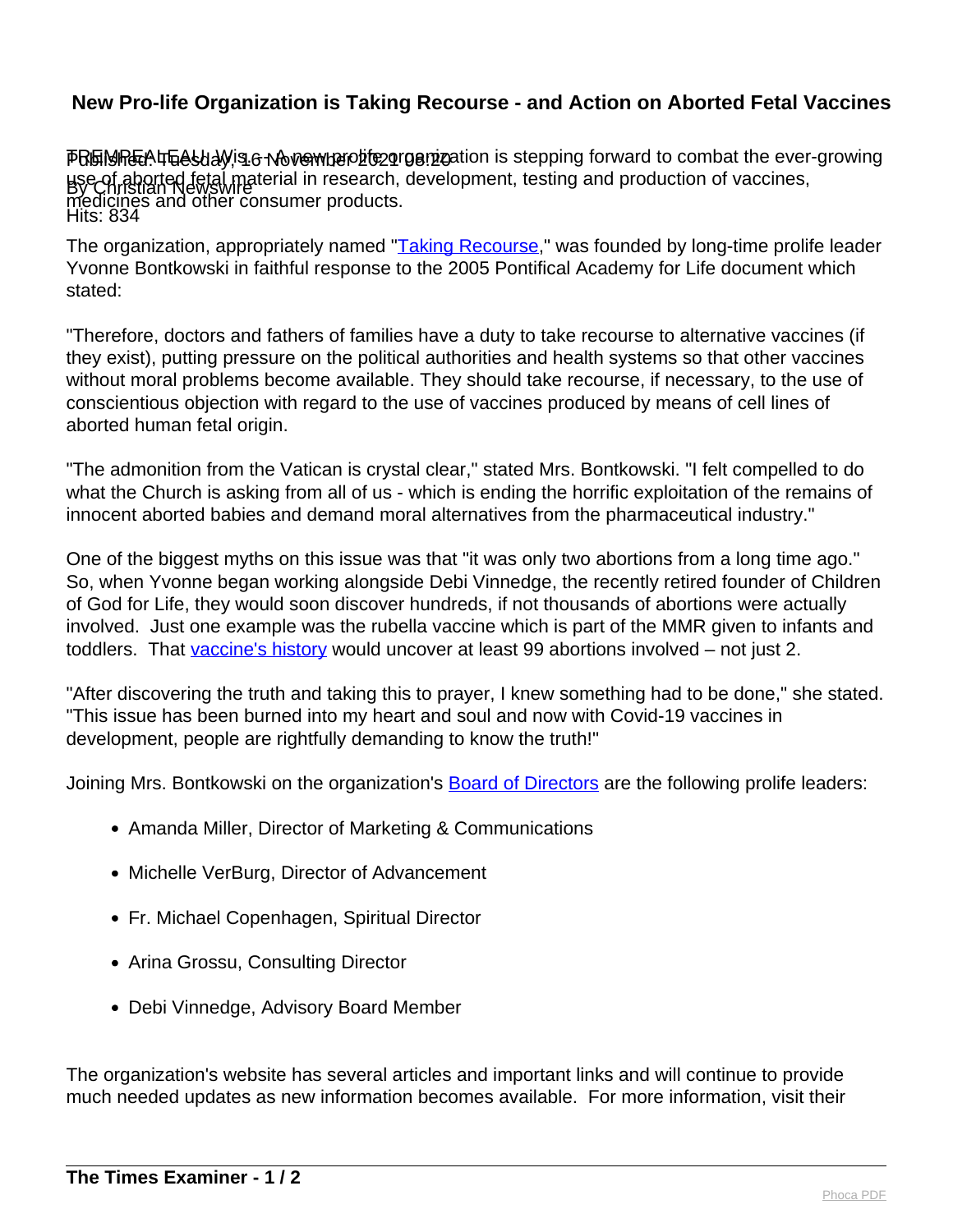## **New Pro-life Organization is Taking Recourse - and Action on Aborted Fetal Vaccines**

Published: Tuesday, 16 November 2021 08:20 By Christian Newswire Hits: 834 PRGMPEATEAUM is 6 Nove mbe progrimation is stepping forward to combat the ever-growing use of aborted fetal material in research, development, testing and production of vaccines, medicines and other consumer products.

The organization, appropriately named "[Taking Recourse](http://www.takingrecourse.com/)," was founded by long-time prolife leader Yvonne Bontkowski in faithful response to the 2005 Pontifical Academy for Life document which stated:

"Therefore, doctors and fathers of families have a duty to take recourse to alternative vaccines (if they exist), putting pressure on the political authorities and health systems so that other vaccines without moral problems become available. They should take recourse, if necessary, to the use of conscientious objection with regard to the use of vaccines produced by means of cell lines of aborted human fetal origin.

"The admonition from the Vatican is crystal clear," stated Mrs. Bontkowski. "I felt compelled to do what the Church is asking from all of us - which is ending the horrific exploitation of the remains of innocent aborted babies and demand moral alternatives from the pharmaceutical industry."

One of the biggest myths on this issue was that "it was only two abortions from a long time ago." So, when Yvonne began working alongside Debi Vinnedge, the recently retired founder of Children of God for Life, they would soon discover hundreds, if not thousands of abortions were actually involved. Just one example was the rubella vaccine which is part of the MMR given to infants and toddlers. That [vaccine's history](https://takingrecourse.com/wp-content/uploads/AbortedFetalCellLines.pdf) would uncover at least 99 abortions involved – not just 2.

"After discovering the truth and taking this to prayer, I knew something had to be done," she stated. "This issue has been burned into my heart and soul and now with Covid-19 vaccines in development, people are rightfully demanding to know the truth!"

Joining Mrs. Bontkowski on the organization's **Board of Directors** are the following prolife leaders:

- Amanda Miller, Director of Marketing & Communications
- Michelle VerBurg, Director of Advancement
- Fr. Michael Copenhagen, Spiritual Director
- Arina Grossu, Consulting Director
- Debi Vinnedge, Advisory Board Member

The organization's website has several articles and important links and will continue to provide much needed updates as new information becomes available. For more information, visit their